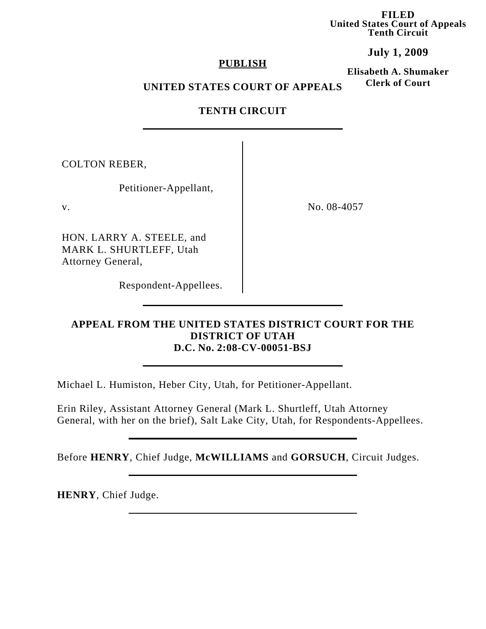**FILED United States Court of Appeals Tenth Circuit**

## **July 1, 2009**

#### **PUBLISH**

**Elisabeth A. Shumaker Clerk of Court**

#### **UNITED STATES COURT OF APPEALS**

## **TENTH CIRCUIT**

COLTON REBER,

Petitioner-Appellant,

HON. LARRY A. STEELE, and MARK L. SHURTLEFF, Utah Attorney General,

Respondent-Appellees.

v. No. 08-4057

### **APPEAL FROM THE UNITED STATES DISTRICT COURT FOR THE DISTRICT OF UTAH D.C. No. 2:08-CV-00051-BSJ**

Michael L. Humiston, Heber City, Utah, for Petitioner-Appellant.

Erin Riley, Assistant Attorney General (Mark L. Shurtleff, Utah Attorney General, with her on the brief), Salt Lake City, Utah, for Respondents-Appellees.

Before **HENRY**, Chief Judge, **McWILLIAMS** and **GORSUCH**, Circuit Judges.

**HENRY**, Chief Judge.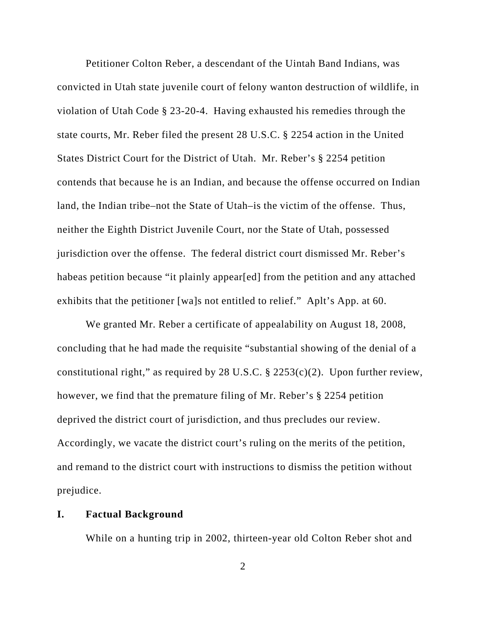Petitioner Colton Reber, a descendant of the Uintah Band Indians, was convicted in Utah state juvenile court of felony wanton destruction of wildlife, in violation of Utah Code § 23-20-4. Having exhausted his remedies through the state courts, Mr. Reber filed the present 28 U.S.C. § 2254 action in the United States District Court for the District of Utah. Mr. Reber's § 2254 petition contends that because he is an Indian, and because the offense occurred on Indian land, the Indian tribe–not the State of Utah–is the victim of the offense. Thus, neither the Eighth District Juvenile Court, nor the State of Utah, possessed jurisdiction over the offense. The federal district court dismissed Mr. Reber's habeas petition because "it plainly appear[ed] from the petition and any attached exhibits that the petitioner [wa]s not entitled to relief." Aplt's App. at 60.

We granted Mr. Reber a certificate of appealability on August 18, 2008, concluding that he had made the requisite "substantial showing of the denial of a constitutional right," as required by 28 U.S.C.  $\S$  2253(c)(2). Upon further review, however, we find that the premature filing of Mr. Reber's § 2254 petition deprived the district court of jurisdiction, and thus precludes our review. Accordingly, we vacate the district court's ruling on the merits of the petition, and remand to the district court with instructions to dismiss the petition without prejudice.

#### **I. Factual Background**

While on a hunting trip in 2002, thirteen-year old Colton Reber shot and

2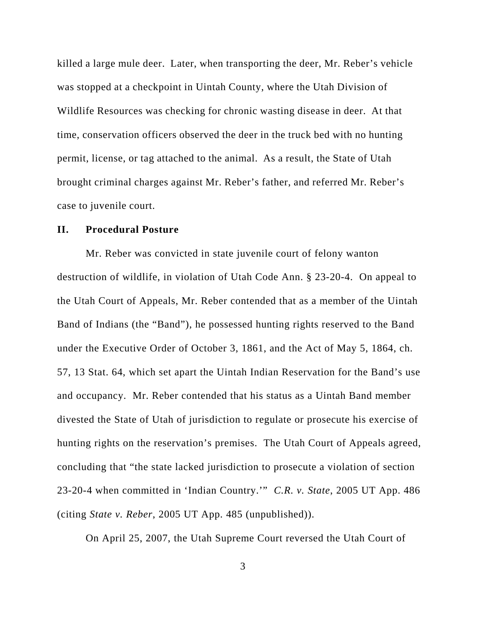killed a large mule deer. Later, when transporting the deer, Mr. Reber's vehicle was stopped at a checkpoint in Uintah County, where the Utah Division of Wildlife Resources was checking for chronic wasting disease in deer. At that time, conservation officers observed the deer in the truck bed with no hunting permit, license, or tag attached to the animal. As a result, the State of Utah brought criminal charges against Mr. Reber's father, and referred Mr. Reber's case to juvenile court.

#### **II. Procedural Posture**

Mr. Reber was convicted in state juvenile court of felony wanton destruction of wildlife, in violation of Utah Code Ann. § 23-20-4. On appeal to the Utah Court of Appeals, Mr. Reber contended that as a member of the Uintah Band of Indians (the "Band"), he possessed hunting rights reserved to the Band under the Executive Order of October 3, 1861, and the Act of May 5, 1864, ch. 57, 13 Stat. 64, which set apart the Uintah Indian Reservation for the Band's use and occupancy. Mr. Reber contended that his status as a Uintah Band member divested the State of Utah of jurisdiction to regulate or prosecute his exercise of hunting rights on the reservation's premises. The Utah Court of Appeals agreed, concluding that "the state lacked jurisdiction to prosecute a violation of section 23-20-4 when committed in 'Indian Country.'" *C.R. v. State*, 2005 UT App. 486 (citing *State v. Reber*, 2005 UT App. 485 (unpublished)).

On April 25, 2007, the Utah Supreme Court reversed the Utah Court of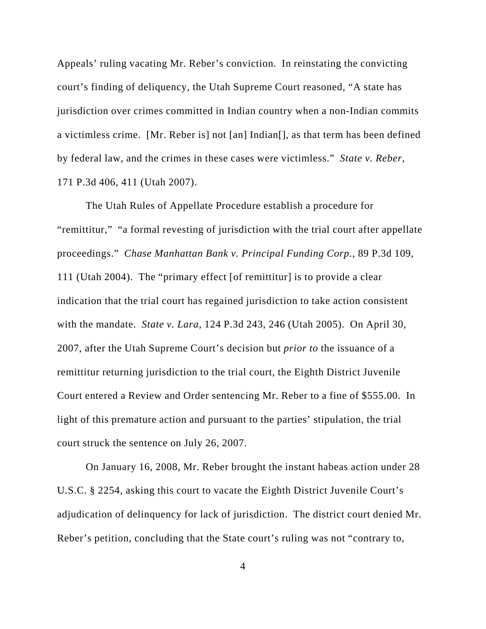Appeals' ruling vacating Mr. Reber's conviction. In reinstating the convicting court's finding of deliquency, the Utah Supreme Court reasoned, "A state has jurisdiction over crimes committed in Indian country when a non-Indian commits a victimless crime. [Mr. Reber is] not [an] Indian[], as that term has been defined by federal law, and the crimes in these cases were victimless." *State v. Reber*, 171 P.3d 406, 411 (Utah 2007).

The Utah Rules of Appellate Procedure establish a procedure for "remittitur," "a formal revesting of jurisdiction with the trial court after appellate proceedings." *Chase Manhattan Bank v. Principal Funding Corp.*, 89 P.3d 109, 111 (Utah 2004). The "primary effect [of remittitur] is to provide a clear indication that the trial court has regained jurisdiction to take action consistent with the mandate. *State v. Lara*, 124 P.3d 243, 246 (Utah 2005). On April 30, 2007, after the Utah Supreme Court's decision but *prior to* the issuance of a remittitur returning jurisdiction to the trial court, the Eighth District Juvenile Court entered a Review and Order sentencing Mr. Reber to a fine of \$555.00. In light of this premature action and pursuant to the parties' stipulation, the trial court struck the sentence on July 26, 2007.

On January 16, 2008, Mr. Reber brought the instant habeas action under 28 U.S.C. § 2254, asking this court to vacate the Eighth District Juvenile Court's adjudication of delinquency for lack of jurisdiction. The district court denied Mr. Reber's petition, concluding that the State court's ruling was not "contrary to,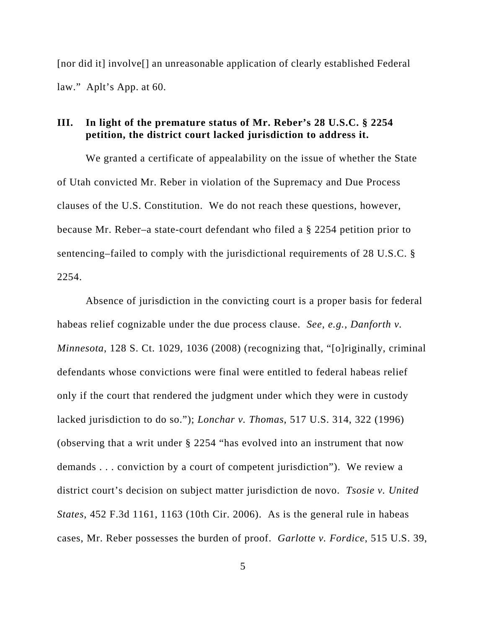[nor did it] involve[] an unreasonable application of clearly established Federal law."Aplt's App. at 60.

# **III. In light of the premature status of Mr. Reber's 28 U.S.C. § 2254 petition, the district court lacked jurisdiction to address it.**

We granted a certificate of appealability on the issue of whether the State of Utah convicted Mr. Reber in violation of the Supremacy and Due Process clauses of the U.S. Constitution. We do not reach these questions, however, because Mr. Reber–a state-court defendant who filed a § 2254 petition prior to sentencing–failed to comply with the jurisdictional requirements of 28 U.S.C. § 2254.

Absence of jurisdiction in the convicting court is a proper basis for federal habeas relief cognizable under the due process clause. *See, e.g.*, *Danforth v. Minnesota*, 128 S. Ct. 1029, 1036 (2008) (recognizing that, "[o]riginally, criminal defendants whose convictions were final were entitled to federal habeas relief only if the court that rendered the judgment under which they were in custody lacked jurisdiction to do so."); *Lonchar v. Thomas*, 517 U.S. 314, 322 (1996) (observing that a writ under § 2254 "has evolved into an instrument that now demands . . . conviction by a court of competent jurisdiction"). We review a district court's decision on subject matter jurisdiction de novo. *Tsosie v. United States*, 452 F.3d 1161, 1163 (10th Cir. 2006). As is the general rule in habeas cases, Mr. Reber possesses the burden of proof. *Garlotte v. Fordice*, 515 U.S. 39,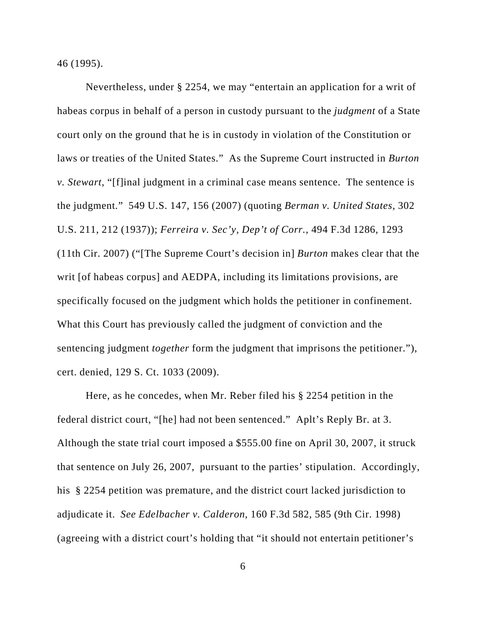46 (1995).

Nevertheless, under § 2254, we may "entertain an application for a writ of habeas corpus in behalf of a person in custody pursuant to the *judgment* of a State court only on the ground that he is in custody in violation of the Constitution or laws or treaties of the United States." As the Supreme Court instructed in *Burton v. Stewart*, "[f]inal judgment in a criminal case means sentence. The sentence is the judgment." 549 U.S. 147, 156 (2007) (quoting *Berman v. United States,* 302 U.S. 211, 212 (1937)); *Ferreira v. Sec'y, Dep't of Corr.*, 494 F.3d 1286, 1293 (11th Cir. 2007) ("[The Supreme Court's decision in] *Burton* makes clear that the writ [of habeas corpus] and AEDPA, including its limitations provisions, are specifically focused on the judgment which holds the petitioner in confinement. What this Court has previously called the judgment of conviction and the sentencing judgment *together* form the judgment that imprisons the petitioner."), cert. denied, 129 S. Ct. 1033 (2009).

Here, as he concedes, when Mr. Reber filed his § 2254 petition in the federal district court, "[he] had not been sentenced." Aplt's Reply Br. at 3. Although the state trial court imposed a \$555.00 fine on April 30, 2007, it struck that sentence on July 26, 2007, pursuant to the parties' stipulation. Accordingly, his § 2254 petition was premature, and the district court lacked jurisdiction to adjudicate it. *See Edelbacher v. Calderon*, 160 F.3d 582, 585 (9th Cir. 1998) (agreeing with a district court's holding that "it should not entertain petitioner's

6